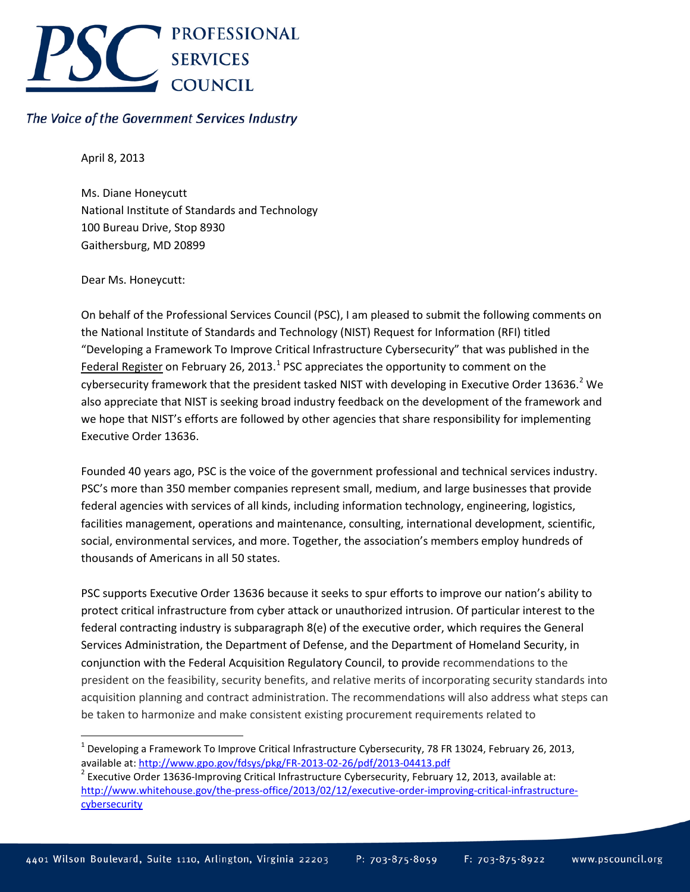

## The Voice of the Government Services Industry

April 8, 2013

Ms. Diane Honeycutt National Institute of Standards and Technology 100 Bureau Drive, Stop 8930 Gaithersburg, MD 20899

Dear Ms. Honeycutt:

On behalf of the Professional Services Council (PSC), I am pleased to submit the following comments on the National Institute of Standards and Technology (NIST) Request for Information (RFI) titled "Developing a Framework To Improve Critical Infrastructure Cybersecurity" that was published in the Federal Register on February 26, 20[1](#page-0-0)3.<sup>1</sup> PSC appreciates the opportunity to comment on the cybersecurity framework that the president tasked NIST with developing in Executive Order 13636.<sup>[2](#page-0-1)</sup> We also appreciate that NIST is seeking broad industry feedback on the development of the framework and we hope that NIST's efforts are followed by other agencies that share responsibility for implementing Executive Order 13636.

Founded 40 years ago, PSC is the voice of the government professional and technical services industry. PSC's more than 350 member companies represent small, medium, and large businesses that provide federal agencies with services of all kinds, including information technology, engineering, logistics, facilities management, operations and maintenance, consulting, international development, scientific, social, environmental services, and more. Together, the association's members employ hundreds of thousands of Americans in all 50 states.

PSC supports Executive Order 13636 because it seeks to spur efforts to improve our nation's ability to protect critical infrastructure from cyber attack or unauthorized intrusion. Of particular interest to the federal contracting industry is subparagraph 8(e) of the executive order, which requires the General Services Administration, the Department of Defense, and the Department of Homeland Security, in conjunction with the Federal Acquisition Regulatory Council, to provide recommendations to the president on the feasibility, security benefits, and relative merits of incorporating security standards into acquisition planning and contract administration. The recommendations will also address what steps can be taken to harmonize and make consistent existing procurement requirements related to

<span id="page-0-0"></span><sup>&</sup>lt;sup>1</sup> Developing a Framework To Improve Critical Infrastructure Cybersecurity, 78 FR 13024, February 26, 2013, available at:<http://www.gpo.gov/fdsys/pkg/FR-2013-02-26/pdf/2013-04413.pdf><br><sup>2</sup> Executive Order 13636-Improving Critical Infrastructure Cybersecurity, February 12, 2013, available at:

<span id="page-0-1"></span>[http://www.whitehouse.gov/the-press-office/2013/02/12/executive-order-improving-critical-infrastructure](http://www.whitehouse.gov/the-press-office/2013/02/12/executive-order-improving-critical-infrastructure-cybersecurity)**[cybersecurity](http://www.whitehouse.gov/the-press-office/2013/02/12/executive-order-improving-critical-infrastructure-cybersecurity)**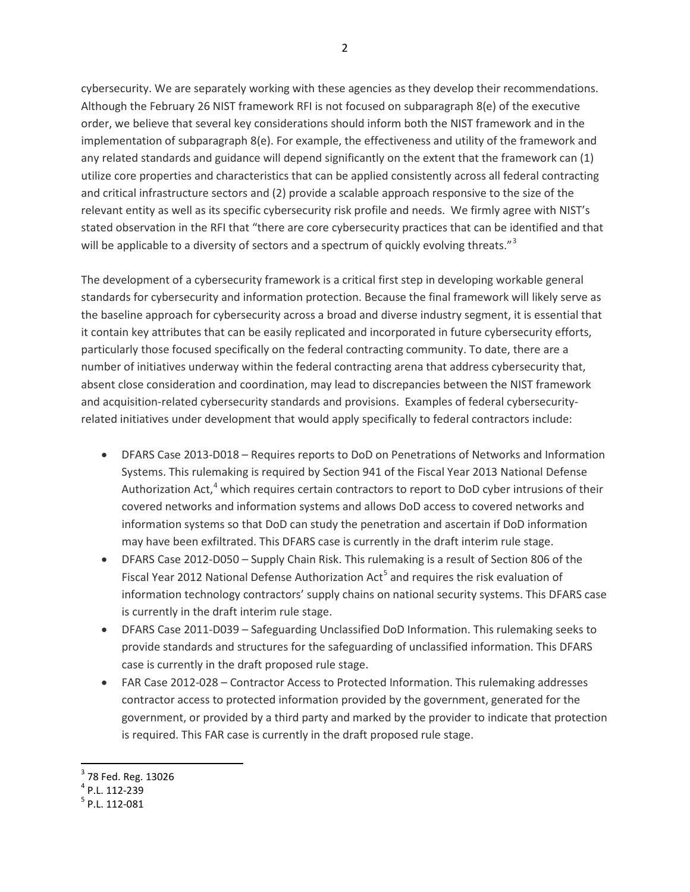cybersecurity. We are separately working with these agencies as they develop their recommendations. Although the February 26 NIST framework RFI is not focused on subparagraph 8(e) of the executive order, we believe that several key considerations should inform both the NIST framework and in the implementation of subparagraph 8(e). For example, the effectiveness and utility of the framework and any related standards and guidance will depend significantly on the extent that the framework can (1) utilize core properties and characteristics that can be applied consistently across all federal contracting and critical infrastructure sectors and (2) provide a scalable approach responsive to the size of the relevant entity as well as its specific cybersecurity risk profile and needs. We firmly agree with NIST's stated observation in the RFI that "there are core cybersecurity practices that can be identified and that will be applicable to a diversity of sectors and a spectrum of quickly evolving threats."<sup>[3](#page-1-0)</sup>

The development of a cybersecurity framework is a critical first step in developing workable general standards for cybersecurity and information protection. Because the final framework will likely serve as the baseline approach for cybersecurity across a broad and diverse industry segment, it is essential that it contain key attributes that can be easily replicated and incorporated in future cybersecurity efforts, particularly those focused specifically on the federal contracting community. To date, there are a number of initiatives underway within the federal contracting arena that address cybersecurity that, absent close consideration and coordination, may lead to discrepancies between the NIST framework and acquisition-related cybersecurity standards and provisions. Examples of federal cybersecurityrelated initiatives under development that would apply specifically to federal contractors include:

- DFARS Case 2013-D018 Requires reports to DoD on Penetrations of Networks and Information Systems. This rulemaking is required by Section 941 of the Fiscal Year 2013 National Defense Authorization Act,<sup>[4](#page-1-1)</sup> which requires certain contractors to report to DoD cyber intrusions of their covered networks and information systems and allows DoD access to covered networks and information systems so that DoD can study the penetration and ascertain if DoD information may have been exfiltrated. This DFARS case is currently in the draft interim rule stage.
- DFARS Case 2012-D050 Supply Chain Risk. This rulemaking is a result of Section 806 of the Fiscal Year 2012 National Defense Authorization Act<sup>[5](#page-1-2)</sup> and requires the risk evaluation of information technology contractors' supply chains on national security systems. This DFARS case is currently in the draft interim rule stage.
- DFARS Case 2011-D039 Safeguarding Unclassified DoD Information. This rulemaking seeks to provide standards and structures for the safeguarding of unclassified information. This DFARS case is currently in the draft proposed rule stage.
- FAR Case 2012-028 Contractor Access to Protected Information. This rulemaking addresses contractor access to protected information provided by the government, generated for the government, or provided by a third party and marked by the provider to indicate that protection is required. This FAR case is currently in the draft proposed rule stage.

<span id="page-1-0"></span> $^3$  78 Fed. Reg. 13026<br><sup>4</sup> P.L. 112-239<br><sup>5</sup> P.L. 112-081

<span id="page-1-1"></span>

<span id="page-1-2"></span>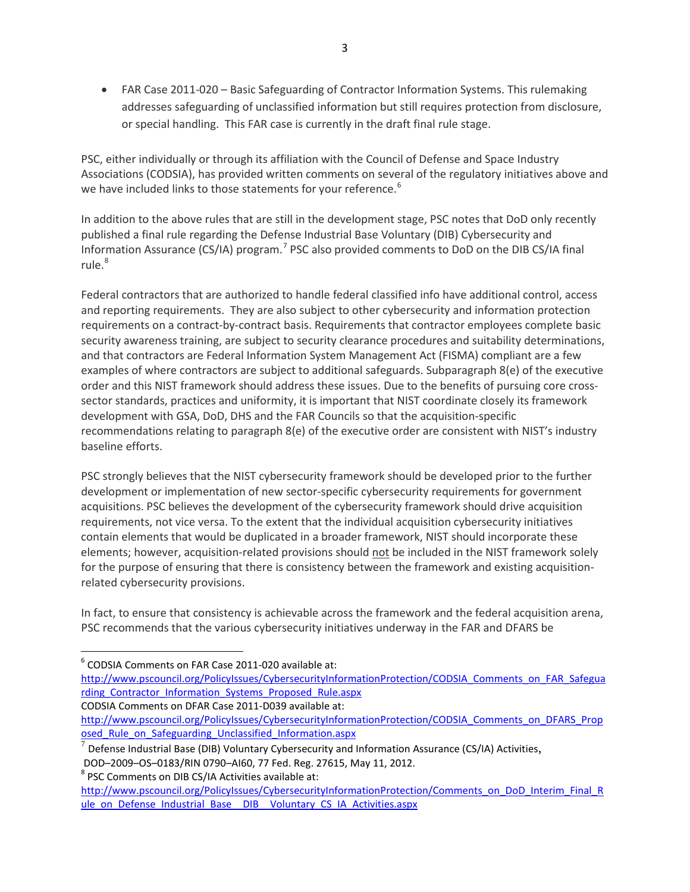• FAR Case 2011-020 – Basic Safeguarding of Contractor Information Systems. This rulemaking addresses safeguarding of unclassified information but still requires protection from disclosure, or special handling. This FAR case is currently in the draft final rule stage.

PSC, either individually or through its affiliation with the Council of Defense and Space Industry Associations (CODSIA), has provided written comments on several of the regulatory initiatives above and we have included links to those statements for your reference.<sup>[6](#page-2-0)</sup>

In addition to the above rules that are still in the development stage, PSC notes that DoD only recently published a final rule regarding the Defense Industrial Base Voluntary (DIB) Cybersecurity and Information Assurance (CS/IA) program.<sup>[7](#page-2-1)</sup> PSC also provided comments to DoD on the DIB CS/IA final rule. [8](#page-2-2)

Federal contractors that are authorized to handle federal classified info have additional control, access and reporting requirements. They are also subject to other cybersecurity and information protection requirements on a contract-by-contract basis. Requirements that contractor employees complete basic security awareness training, are subject to security clearance procedures and suitability determinations, and that contractors are Federal Information System Management Act (FISMA) compliant are a few examples of where contractors are subject to additional safeguards. Subparagraph 8(e) of the executive order and this NIST framework should address these issues. Due to the benefits of pursuing core crosssector standards, practices and uniformity, it is important that NIST coordinate closely its framework development with GSA, DoD, DHS and the FAR Councils so that the acquisition-specific recommendations relating to paragraph 8(e) of the executive order are consistent with NIST's industry baseline efforts.

PSC strongly believes that the NIST cybersecurity framework should be developed prior to the further development or implementation of new sector-specific cybersecurity requirements for government acquisitions. PSC believes the development of the cybersecurity framework should drive acquisition requirements, not vice versa. To the extent that the individual acquisition cybersecurity initiatives contain elements that would be duplicated in a broader framework, NIST should incorporate these elements; however, acquisition-related provisions should not be included in the NIST framework solely for the purpose of ensuring that there is consistency between the framework and existing acquisitionrelated cybersecurity provisions.

In fact, to ensure that consistency is achievable across the framework and the federal acquisition arena, PSC recommends that the various cybersecurity initiatives underway in the FAR and DFARS be

<span id="page-2-0"></span> <sup>6</sup> CODSIA Comments on FAR Case 2011-020 available at:

[http://www.pscouncil.org/PolicyIssues/CybersecurityInformationProtection/CODSIA\\_Comments\\_on\\_FAR\\_Safegua](http://www.pscouncil.org/PolicyIssues/CybersecurityInformationProtection/CODSIA_Comments_on_FAR_Safeguarding_Contractor_Information_Systems_Proposed_Rule.aspx) [rding\\_Contractor\\_Information\\_Systems\\_Proposed\\_Rule.aspx](http://www.pscouncil.org/PolicyIssues/CybersecurityInformationProtection/CODSIA_Comments_on_FAR_Safeguarding_Contractor_Information_Systems_Proposed_Rule.aspx)

CODSIA Comments on DFAR Case 2011-D039 available at:

[http://www.pscouncil.org/PolicyIssues/CybersecurityInformationProtection/CODSIA\\_Comments\\_on\\_DFARS\\_Prop](http://www.pscouncil.org/PolicyIssues/CybersecurityInformationProtection/CODSIA_Comments_on_DFARS_Proposed_Rule_on_Safeguarding_Unclassified_Information.aspx) osed Rule on Safeguarding Unclassified Information.aspx

<span id="page-2-1"></span> $^7$  Defense Industrial Base (DIB) Voluntary Cybersecurity and Information Assurance (CS/IA) Activities,

<span id="page-2-2"></span>DOD–2009–OS–0183/RIN 0790–AI60, 77 Fed. Reg. 27615, May 11, 2012.<br><sup>8</sup> PSC Comments on DIB CS/IA Activities available at:

[http://www.pscouncil.org/PolicyIssues/CybersecurityInformationProtection/Comments\\_on\\_DoD\\_Interim\\_Final\\_R](http://www.pscouncil.org/PolicyIssues/CybersecurityInformationProtection/Comments_on_DoD_Interim_Final_Rule_on_Defense_Industrial_Base__DIB__Voluntary_CS_IA_Activities.aspx) [ule\\_on\\_Defense\\_Industrial\\_Base\\_\\_DIB\\_\\_Voluntary\\_CS\\_IA\\_Activities.aspx](http://www.pscouncil.org/PolicyIssues/CybersecurityInformationProtection/Comments_on_DoD_Interim_Final_Rule_on_Defense_Industrial_Base__DIB__Voluntary_CS_IA_Activities.aspx)